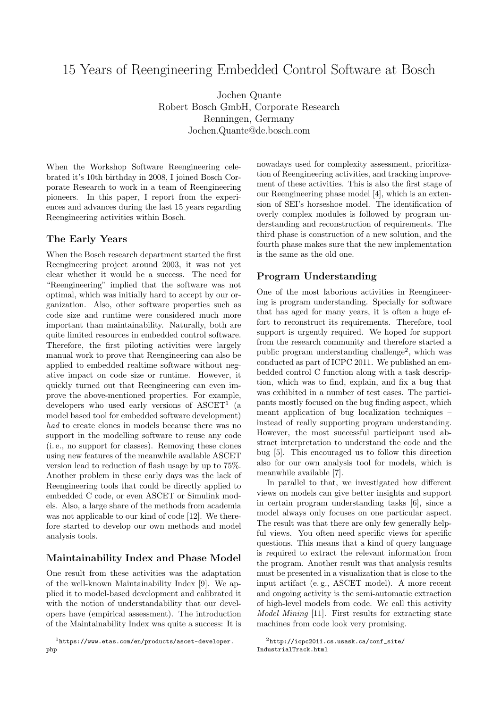# 15 Years of Reengineering Embedded Control Software at Bosch

Jochen Quante Robert Bosch GmbH, Corporate Research Renningen, Germany Jochen.Quante@de.bosch.com

When the Workshop Software Reengineering celebrated it's 10th birthday in 2008, I joined Bosch Corporate Research to work in a team of Reengineering pioneers. In this paper, I report from the experiences and advances during the last 15 years regarding Reengineering activities within Bosch.

### The Early Years

When the Bosch research department started the first Reengineering project around 2003, it was not yet clear whether it would be a success. The need for "Reengineering" implied that the software was not optimal, which was initially hard to accept by our organization. Also, other software properties such as code size and runtime were considered much more important than maintainability. Naturally, both are quite limited resources in embedded control software. Therefore, the first piloting activities were largely manual work to prove that Reengineering can also be applied to embedded realtime software without negative impact on code size or runtime. However, it quickly turned out that Reengineering can even improve the above-mentioned properties. For example, developers who used early versions of  $\text{ASCET}^1$  (a model based tool for embedded software development) had to create clones in models because there was no support in the modelling software to reuse any code (i. e., no support for classes). Removing these clones using new features of the meanwhile available ASCET version lead to reduction of flash usage by up to 75%. Another problem in these early days was the lack of Reengineering tools that could be directly applied to embedded C code, or even ASCET or Simulink models. Also, a large share of the methods from academia was not applicable to our kind of code [12]. We therefore started to develop our own methods and model analysis tools.

## Maintainability Index and Phase Model

One result from these activities was the adaptation of the well-known Maintainability Index [9]. We applied it to model-based development and calibrated it with the notion of understandability that our developers have (empirical assessment). The introduction of the Maintainability Index was quite a success: It is nowadays used for complexity assessment, prioritization of Reengineering activities, and tracking improvement of these activities. This is also the first stage of our Reengineering phase model [4], which is an extension of SEI's horseshoe model. The identification of overly complex modules is followed by program understanding and reconstruction of requirements. The third phase is construction of a new solution, and the fourth phase makes sure that the new implementation is the same as the old one.

# Program Understanding

One of the most laborious activities in Reengineering is program understanding. Specially for software that has aged for many years, it is often a huge effort to reconstruct its requirements. Therefore, tool support is urgently required. We hoped for support from the research community and therefore started a public program understanding challenge<sup>2</sup>, which was conducted as part of ICPC 2011. We published an embedded control C function along with a task description, which was to find, explain, and fix a bug that was exhibited in a number of test cases. The participants mostly focused on the bug finding aspect, which meant application of bug localization techniques – instead of really supporting program understanding. However, the most successful participant used abstract interpretation to understand the code and the bug [5]. This encouraged us to follow this direction also for our own analysis tool for models, which is meanwhile available [7].

In parallel to that, we investigated how different views on models can give better insights and support in certain program understanding tasks [6], since a model always only focuses on one particular aspect. The result was that there are only few generally helpful views. You often need specific views for specific questions. This means that a kind of query language is required to extract the relevant information from the program. Another result was that analysis results must be presented in a visualization that is close to the input artifact (e. g., ASCET model). A more recent and ongoing activity is the semi-automatic extraction of high-level models from code. We call this activity Model Mining [11]. First results for extracting state machines from code look very promising.

<sup>1</sup>https://www.etas.com/en/products/ascet-developer. php

<sup>2</sup>http://icpc2011.cs.usask.ca/conf\_site/ IndustrialTrack.html